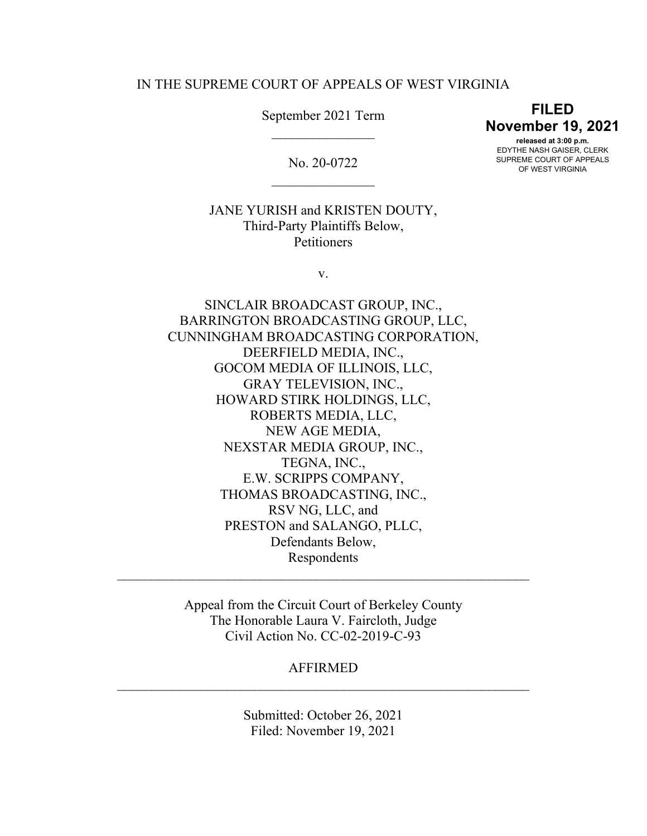# IN THE SUPREME COURT OF APPEALS OF WEST VIRGINIA

September 2021 Term  $\frac{1}{2}$ 

No. 20-0722  $\overline{\phantom{a}}$  , where  $\overline{\phantom{a}}$ 

**FILED November 19, 2021 released at 3:00 p.m.** EDYTHE NASH GAISER, CLERK SUPREME COURT OF APPEALS

OF WEST VIRGINIA

JANE YURISH and KRISTEN DOUTY, Third-Party Plaintiffs Below, **Petitioners** 

v.

SINCLAIR BROADCAST GROUP, INC., BARRINGTON BROADCASTING GROUP, LLC, CUNNINGHAM BROADCASTING CORPORATION, DEERFIELD MEDIA, INC., GOCOM MEDIA OF ILLINOIS, LLC, GRAY TELEVISION, INC., HOWARD STIRK HOLDINGS, LLC, ROBERTS MEDIA, LLC, NEW AGE MEDIA, NEXSTAR MEDIA GROUP, INC., TEGNA, INC., E.W. SCRIPPS COMPANY, THOMAS BROADCASTING, INC., RSV NG, LLC, and PRESTON and SALANGO, PLLC, Defendants Below, Respondents

Appeal from the Circuit Court of Berkeley County The Honorable Laura V. Faircloth, Judge Civil Action No. CC-02-2019-C-93

 $\mathcal{L}_\text{max}$  , and the contract of the contract of the contract of the contract of the contract of the contract of the contract of the contract of the contract of the contract of the contract of the contract of the contr

AFFIRMED  $\mathcal{L}_\text{max}$  , and the contract of the contract of the contract of the contract of the contract of the contract of the contract of the contract of the contract of the contract of the contract of the contract of the contr

> Submitted: October 26, 2021 Filed: November 19, 2021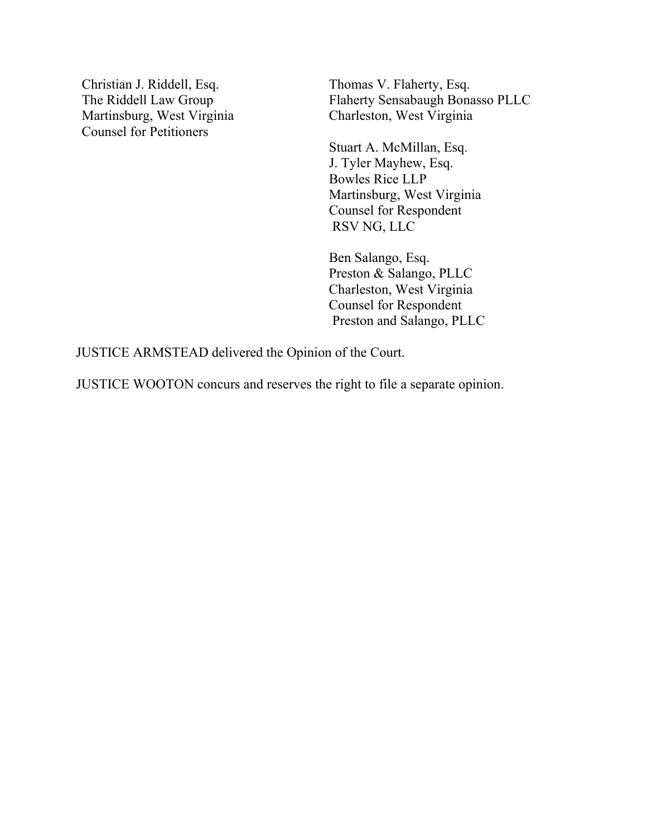Christian J. Riddell, Esq. The Riddell Law Group Martinsburg, West Virginia Counsel for Petitioners

Thomas V. Flaherty, Esq. Flaherty Sensabaugh Bonasso PLLC Charleston, West Virginia

Stuart A. McMillan, Esq. J. Tyler Mayhew, Esq. Bowles Rice LLP Martinsburg, West Virginia Counsel for Respondent RSV NG, LLC

Ben Salango, Esq. Preston & Salango, PLLC Charleston, West Virginia Counsel for Respondent Preston and Salango, PLLC

JUSTICE ARMSTEAD delivered the Opinion of the Court.

JUSTICE WOOTON concurs and reserves the right to file a separate opinion.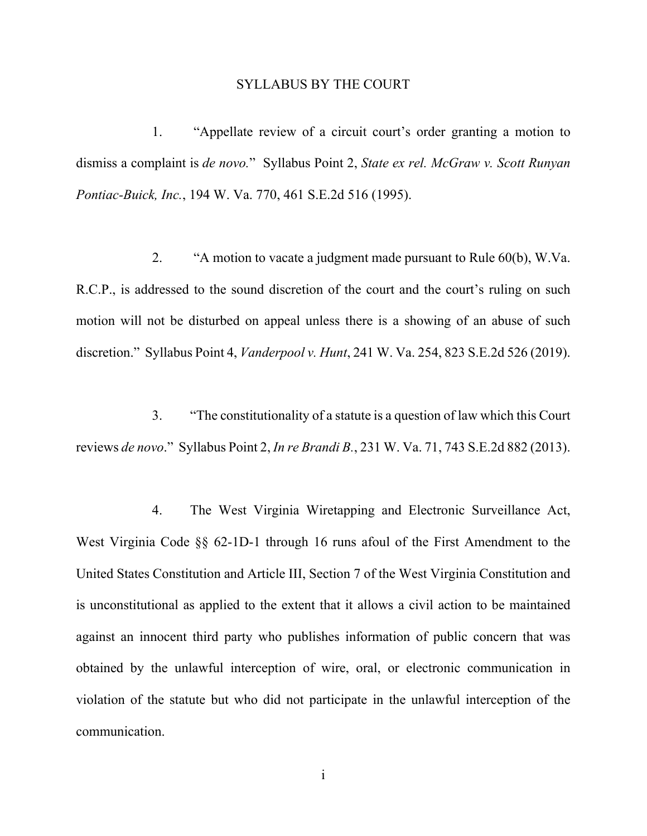## SYLLABUS BY THE COURT

1. "Appellate review of a circuit court's order granting a motion to dismiss a complaint is *de novo.*" Syllabus Point 2, *State ex rel. McGraw v. Scott Runyan Pontiac-Buick, Inc.*, 194 W. Va. 770, 461 S.E.2d 516 (1995).

2. "A motion to vacate a judgment made pursuant to Rule 60(b), W.Va. R.C.P., is addressed to the sound discretion of the court and the court's ruling on such motion will not be disturbed on appeal unless there is a showing of an abuse of such discretion." Syllabus Point 4, *Vanderpool v. Hunt*, 241 W. Va. 254, 823 S.E.2d 526 (2019).

3. "The constitutionality of a statute is a question of law which this Court reviews *de novo*." Syllabus Point 2, *In re Brandi B.*, 231 W. Va. 71, 743 S.E.2d 882 (2013).

4. The West Virginia Wiretapping and Electronic Surveillance Act, West Virginia Code §§ 62-1D-1 through 16 runs afoul of the First Amendment to the United States Constitution and Article III, Section 7 of the West Virginia Constitution and is unconstitutional as applied to the extent that it allows a civil action to be maintained against an innocent third party who publishes information of public concern that was obtained by the unlawful interception of wire, oral, or electronic communication in violation of the statute but who did not participate in the unlawful interception of the communication.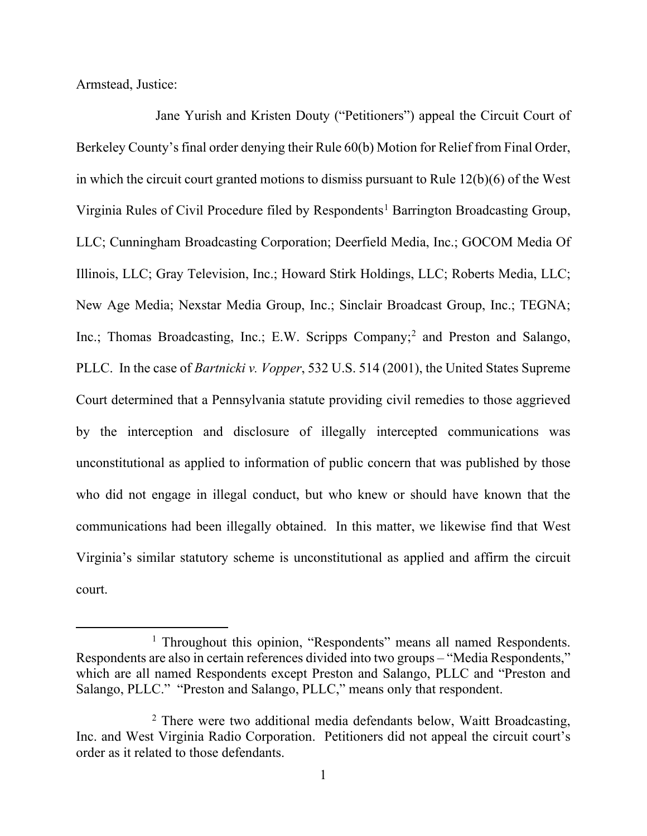Armstead, Justice:

Jane Yurish and Kristen Douty ("Petitioners") appeal the Circuit Court of Berkeley County's final order denying their Rule 60(b) Motion for Relief from Final Order, in which the circuit court granted motions to dismiss pursuant to Rule 12(b)(6) of the West Virginia Rules of Civil Procedure filed by Respondents<sup>[1](#page-3-0)</sup> Barrington Broadcasting Group, LLC; Cunningham Broadcasting Corporation; Deerfield Media, Inc.; GOCOM Media Of Illinois, LLC; Gray Television, Inc.; Howard Stirk Holdings, LLC; Roberts Media, LLC; New Age Media; Nexstar Media Group, Inc.; Sinclair Broadcast Group, Inc.; TEGNA; Inc.; Thomas Broadcasting, Inc.; E.W. Scripps Company; [2](#page-3-1) and Preston and Salango, PLLC. In the case of *Bartnicki v. Vopper*, 532 U.S. 514 (2001), the United States Supreme Court determined that a Pennsylvania statute providing civil remedies to those aggrieved by the interception and disclosure of illegally intercepted communications was unconstitutional as applied to information of public concern that was published by those who did not engage in illegal conduct, but who knew or should have known that the communications had been illegally obtained. In this matter, we likewise find that West Virginia's similar statutory scheme is unconstitutional as applied and affirm the circuit court.

<span id="page-3-0"></span><sup>&</sup>lt;sup>1</sup> Throughout this opinion, "Respondents" means all named Respondents. Respondents are also in certain references divided into two groups – "Media Respondents," which are all named Respondents except Preston and Salango, PLLC and "Preston and Salango, PLLC." "Preston and Salango, PLLC," means only that respondent.

<span id="page-3-1"></span><sup>&</sup>lt;sup>2</sup> There were two additional media defendants below, Waitt Broadcasting, Inc. and West Virginia Radio Corporation. Petitioners did not appeal the circuit court's order as it related to those defendants.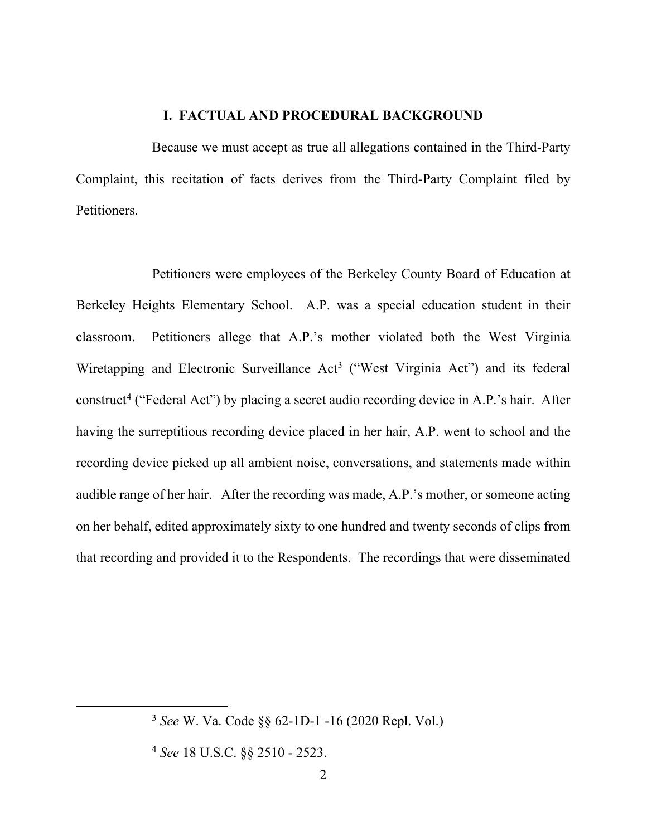## **I. FACTUAL AND PROCEDURAL BACKGROUND**

Because we must accept as true all allegations contained in the Third-Party Complaint, this recitation of facts derives from the Third-Party Complaint filed by Petitioners.

Petitioners were employees of the Berkeley County Board of Education at Berkeley Heights Elementary School. A.P. was a special education student in their classroom. Petitioners allege that A.P.'s mother violated both the West Virginia Wiretapping and Electronic Surveillance Act<sup>[3](#page-4-0)</sup> ("West Virginia Act") and its federal construct<sup>[4](#page-4-1)</sup> ("Federal Act") by placing a secret audio recording device in A.P.'s hair. After having the surreptitious recording device placed in her hair, A.P. went to school and the recording device picked up all ambient noise, conversations, and statements made within audible range of her hair. After the recording was made, A.P.'s mother, or someone acting on her behalf, edited approximately sixty to one hundred and twenty seconds of clips from that recording and provided it to the Respondents. The recordings that were disseminated

<span id="page-4-0"></span><sup>3</sup> *See* W. Va. Code §§ 62-1D-1 -16 (2020 Repl. Vol.)

<span id="page-4-1"></span><sup>4</sup> *See* 18 U.S.C. §§ 2510 - 2523.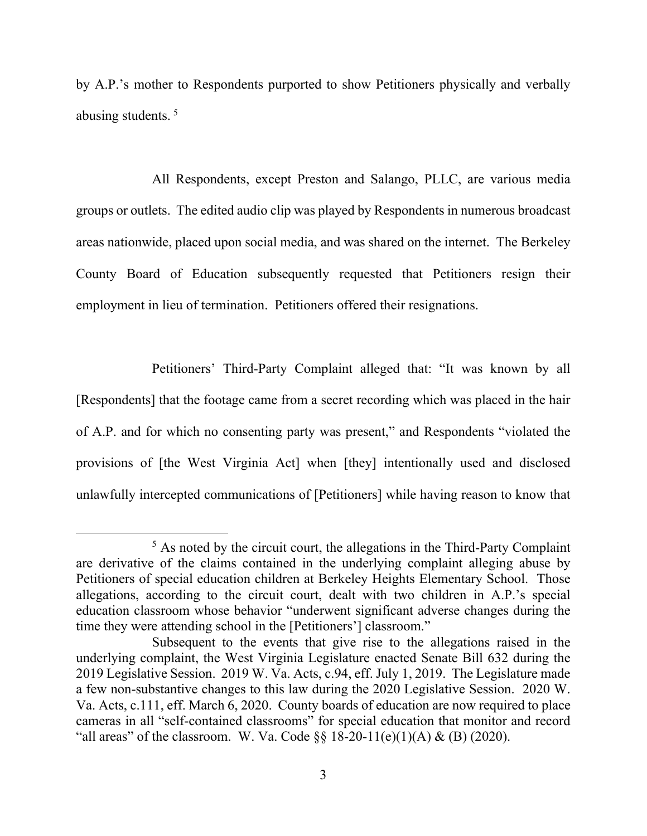by A.P.'s mother to Respondents purported to show Petitioners physically and verbally abusing students. [5](#page-5-0)

All Respondents, except Preston and Salango, PLLC, are various media groups or outlets. The edited audio clip was played by Respondents in numerous broadcast areas nationwide, placed upon social media, and was shared on the internet. The Berkeley County Board of Education subsequently requested that Petitioners resign their employment in lieu of termination. Petitioners offered their resignations.

Petitioners' Third-Party Complaint alleged that: "It was known by all [Respondents] that the footage came from a secret recording which was placed in the hair of A.P. and for which no consenting party was present," and Respondents "violated the provisions of [the West Virginia Act] when [they] intentionally used and disclosed unlawfully intercepted communications of [Petitioners] while having reason to know that

<span id="page-5-0"></span> $<sup>5</sup>$  As noted by the circuit court, the allegations in the Third-Party Complaint</sup> are derivative of the claims contained in the underlying complaint alleging abuse by Petitioners of special education children at Berkeley Heights Elementary School. Those allegations, according to the circuit court, dealt with two children in A.P.'s special education classroom whose behavior "underwent significant adverse changes during the time they were attending school in the [Petitioners'] classroom."

Subsequent to the events that give rise to the allegations raised in the underlying complaint, the West Virginia Legislature enacted Senate Bill 632 during the 2019 Legislative Session. 2019 W. Va. Acts, c.94, eff. July 1, 2019. The Legislature made a few non-substantive changes to this law during the 2020 Legislative Session. 2020 W. Va. Acts, c.111, eff. March 6, 2020. County boards of education are now required to place cameras in all "self-contained classrooms" for special education that monitor and record "all areas" of the classroom. W. Va. Code  $\S$ § 18-20-11(e)(1)(A) & (B) (2020).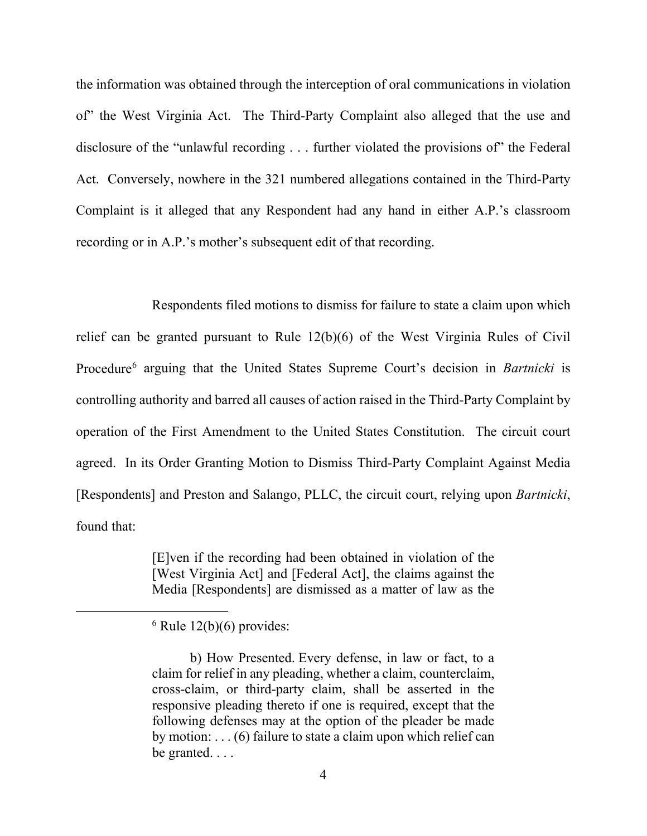the information was obtained through the interception of oral communications in violation of" the West Virginia Act. The Third-Party Complaint also alleged that the use and disclosure of the "unlawful recording ... further violated the provisions of" the Federal Act. Conversely, nowhere in the 321 numbered allegations contained in the Third-Party Complaint is it alleged that any Respondent had any hand in either A.P.'s classroom recording or in A.P.'s mother's subsequent edit of that recording.

Respondents filed motions to dismiss for failure to state a claim upon which relief can be granted pursuant to Rule 12(b)(6) of the West Virginia Rules of Civil Procedure[6](#page-6-0) arguing that the United States Supreme Court's decision in *Bartnicki* is controlling authority and barred all causes of action raised in the Third-Party Complaint by operation of the First Amendment to the United States Constitution. The circuit court agreed. In its Order Granting Motion to Dismiss Third-Party Complaint Against Media [Respondents] and Preston and Salango, PLLC, the circuit court, relying upon *Bartnicki*, found that:

> [E]ven if the recording had been obtained in violation of the [West Virginia Act] and [Federal Act], the claims against the Media [Respondents] are dismissed as a matter of law as the

<span id="page-6-0"></span> $6$  Rule 12(b)(6) provides:

b) How Presented. Every defense, in law or fact, to a claim for relief in any pleading, whether a claim, counterclaim, cross-claim, or third-party claim, shall be asserted in the responsive pleading thereto if one is required, except that the following defenses may at the option of the pleader be made by motion: . . . (6) failure to state a claim upon which relief can be granted. . . .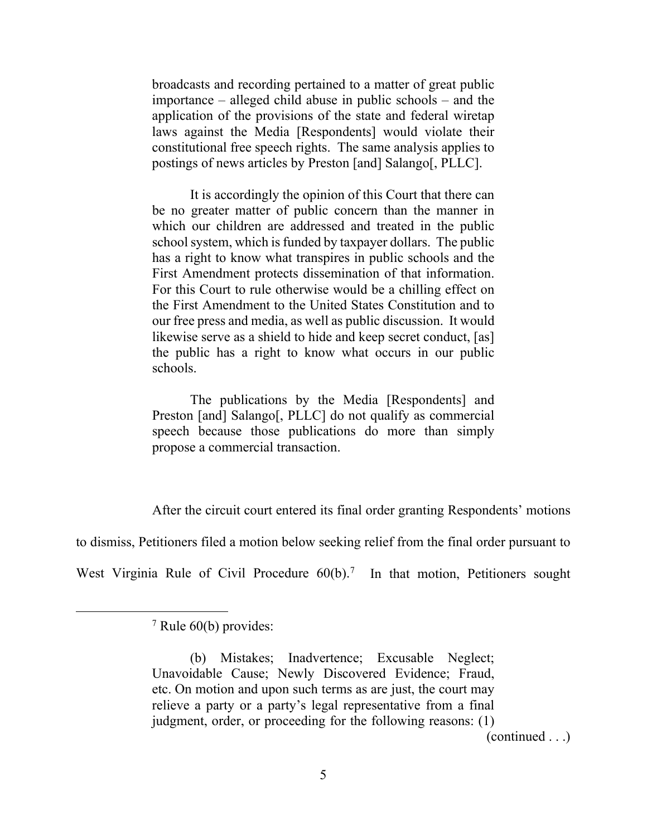broadcasts and recording pertained to a matter of great public importance – alleged child abuse in public schools – and the application of the provisions of the state and federal wiretap laws against the Media [Respondents] would violate their constitutional free speech rights. The same analysis applies to postings of news articles by Preston [and] Salango[, PLLC].

It is accordingly the opinion of this Court that there can be no greater matter of public concern than the manner in which our children are addressed and treated in the public school system, which is funded by taxpayer dollars. The public has a right to know what transpires in public schools and the First Amendment protects dissemination of that information. For this Court to rule otherwise would be a chilling effect on the First Amendment to the United States Constitution and to our free press and media, as well as public discussion. It would likewise serve as a shield to hide and keep secret conduct, [as] the public has a right to know what occurs in our public schools.

The publications by the Media [Respondents] and Preston [and] Salango[, PLLC] do not qualify as commercial speech because those publications do more than simply propose a commercial transaction.

After the circuit court entered its final order granting Respondents' motions

to dismiss, Petitioners filed a motion below seeking relief from the final order pursuant to

<span id="page-7-0"></span>West Virginia Rule of Civil Procedure  $60(b)$ .<sup>[7](#page-7-0)</sup> In that motion, Petitioners sought

(continued . . .)

<sup>7</sup> Rule 60(b) provides:

<sup>(</sup>b) Mistakes; Inadvertence; Excusable Neglect; Unavoidable Cause; Newly Discovered Evidence; Fraud, etc. On motion and upon such terms as are just, the court may relieve a party or a party's legal representative from a final judgment, order, or proceeding for the following reasons: (1)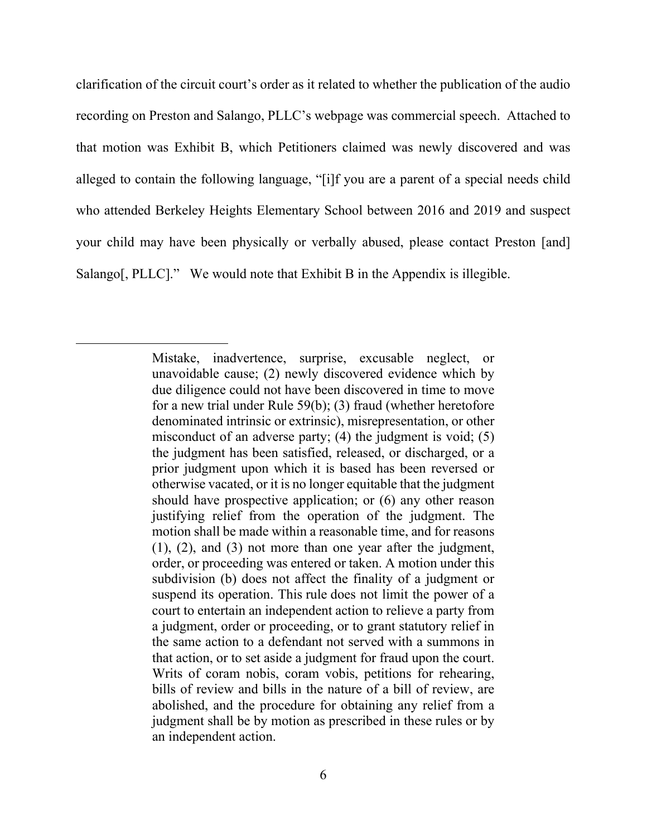clarification of the circuit court's order as it related to whether the publication of the audio recording on Preston and Salango, PLLC's webpage was commercial speech. Attached to that motion was Exhibit B, which Petitioners claimed was newly discovered and was alleged to contain the following language, "[i]f you are a parent of a special needs child who attended Berkeley Heights Elementary School between 2016 and 2019 and suspect your child may have been physically or verbally abused, please contact Preston [and] Salango[, PLLC]." We would note that Exhibit B in the Appendix is illegible.

Mistake, inadvertence, surprise, excusable neglect, or unavoidable cause; (2) newly discovered evidence which by due diligence could not have been discovered in time to move for a new trial under Rule 59(b); (3) fraud (whether heretofore denominated intrinsic or extrinsic), misrepresentation, or other misconduct of an adverse party; (4) the judgment is void; (5) the judgment has been satisfied, released, or discharged, or a prior judgment upon which it is based has been reversed or otherwise vacated, or it is no longer equitable that the judgment should have prospective application; or (6) any other reason justifying relief from the operation of the judgment. The motion shall be made within a reasonable time, and for reasons (1), (2), and (3) not more than one year after the judgment, order, or proceeding was entered or taken. A motion under this subdivision (b) does not affect the finality of a judgment or suspend its operation. This rule does not limit the power of a court to entertain an independent action to relieve a party from a judgment, order or proceeding, or to grant statutory relief in the same action to a defendant not served with a summons in that action, or to set aside a judgment for fraud upon the court. Writs of coram nobis, coram vobis, petitions for rehearing, bills of review and bills in the nature of a bill of review, are abolished, and the procedure for obtaining any relief from a judgment shall be by motion as prescribed in these rules or by an independent action.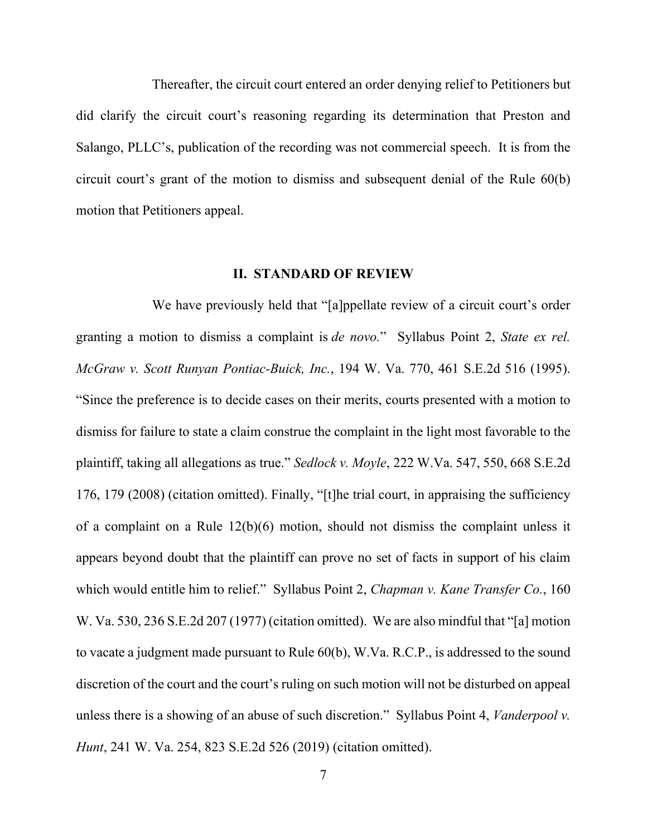Thereafter, the circuit court entered an order denying relief to Petitioners but did clarify the circuit court's reasoning regarding its determination that Preston and Salango, PLLC's, publication of the recording was not commercial speech. It is from the circuit court's grant of the motion to dismiss and subsequent denial of the Rule 60(b) motion that Petitioners appeal.

# **II. STANDARD OF REVIEW**

We have previously held that "[a]ppellate review of a circuit court's order granting a motion to dismiss a complaint is *de novo.*" Syllabus Point 2, *State ex rel. McGraw v. Scott Runyan Pontiac-Buick, Inc.*, 194 W. Va. 770, 461 S.E.2d 516 (1995). "Since the preference is to decide cases on their merits, courts presented with a motion to dismiss for failure to state a claim construe the complaint in the light most favorable to the plaintiff, taking all allegations as true." *Sedlock v. Moyle*, 222 W.Va. 547, 550, 668 S.E.2d 176, 179 (2008) (citation omitted). Finally, "[t]he trial court, in appraising the sufficiency of a complaint on a Rule 12(b)(6) motion, should not dismiss the complaint unless it appears beyond doubt that the plaintiff can prove no set of facts in support of his claim which would entitle him to relief." Syllabus Point 2, *Chapman v. Kane Transfer Co.*, 160 W. Va. 530, 236 S.E.2d 207 (1977) (citation omitted). We are also mindful that "[a] motion to vacate a judgment made pursuant to Rule 60(b), W.Va. R.C.P., is addressed to the sound discretion of the court and the court's ruling on such motion will not be disturbed on appeal unless there is a showing of an abuse of such discretion." Syllabus Point 4, *Vanderpool v. Hunt*, 241 W. Va. 254, 823 S.E.2d 526 (2019) (citation omitted).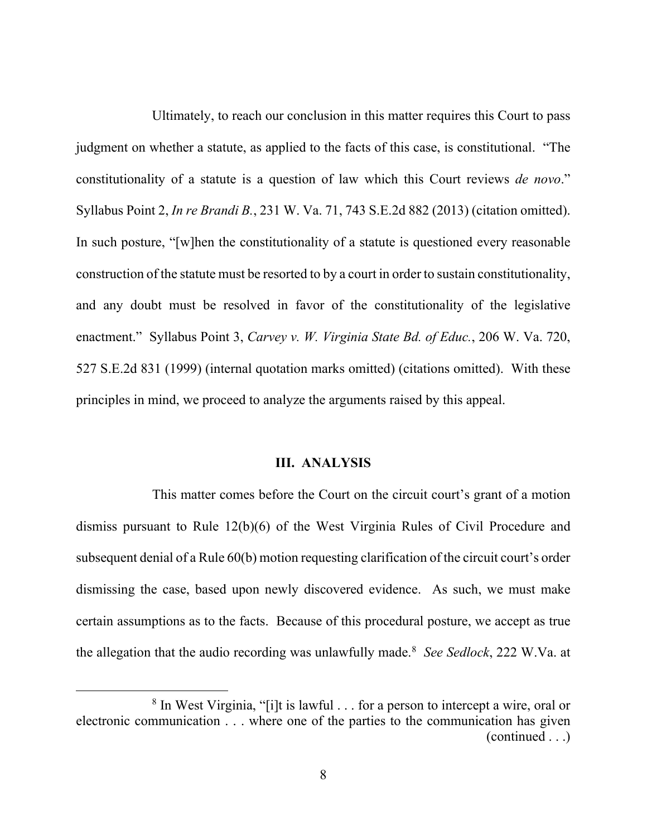Ultimately, to reach our conclusion in this matter requires this Court to pass judgment on whether a statute, as applied to the facts of this case, is constitutional. "The constitutionality of a statute is a question of law which this Court reviews *de novo*." Syllabus Point 2, *In re Brandi B.*, 231 W. Va. 71, 743 S.E.2d 882 (2013) (citation omitted). In such posture, "[w]hen the constitutionality of a statute is questioned every reasonable construction of the statute must be resorted to by a court in order to sustain constitutionality, and any doubt must be resolved in favor of the constitutionality of the legislative enactment." Syllabus Point 3, *Carvey v. W. Virginia State Bd. of Educ.*, 206 W. Va. 720, 527 S.E.2d 831 (1999) (internal quotation marks omitted) (citations omitted). With these principles in mind, we proceed to analyze the arguments raised by this appeal.

#### **III. ANALYSIS**

This matter comes before the Court on the circuit court's grant of a motion dismiss pursuant to Rule 12(b)(6) of the West Virginia Rules of Civil Procedure and subsequent denial of a Rule 60(b) motion requesting clarification of the circuit court's order dismissing the case, based upon newly discovered evidence. As such, we must make certain assumptions as to the facts. Because of this procedural posture, we accept as true the allegation that the audio recording was unlawfully made. [8](#page-10-0) *See Sedlock*, 222 W.Va. at

<span id="page-10-0"></span><sup>8</sup> In West Virginia, "[i]t is lawful . . . for a person to intercept a wire, oral or electronic communication . . . where one of the parties to the communication has given (continued . . .)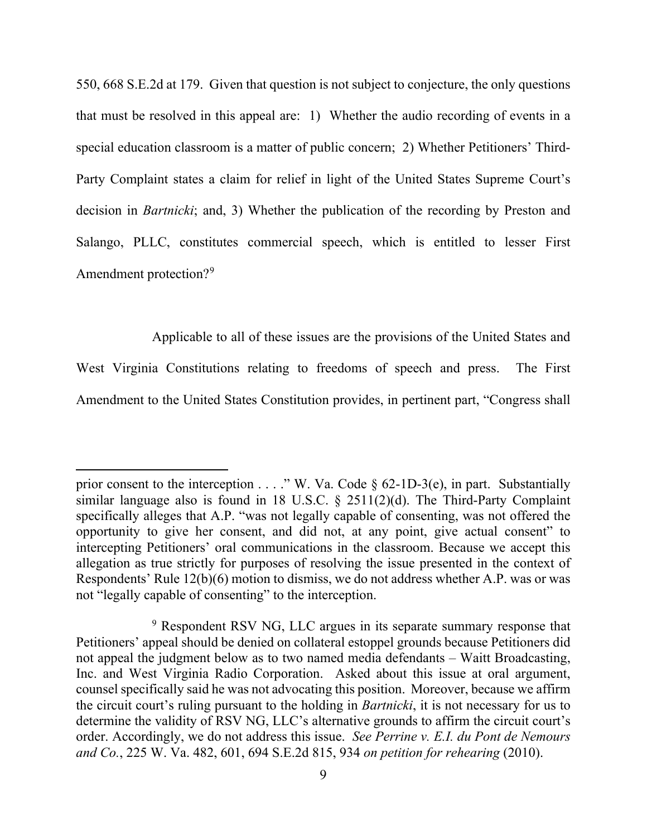550, 668 S.E.2d at 179. Given that question is not subject to conjecture, the only questions that must be resolved in this appeal are: 1) Whether the audio recording of events in a special education classroom is a matter of public concern; 2) Whether Petitioners' Third-Party Complaint states a claim for relief in light of the United States Supreme Court's decision in *Bartnicki*; and, 3) Whether the publication of the recording by Preston and Salango, PLLC, constitutes commercial speech, which is entitled to lesser First Amendment protection?<sup>[9](#page-11-0)</sup>

Applicable to all of these issues are the provisions of the United States and

West Virginia Constitutions relating to freedoms of speech and press. The First Amendment to the United States Constitution provides, in pertinent part, "Congress shall

prior consent to the interception . . . ." W. Va. Code  $\S$  62-1D-3(e), in part. Substantially similar language also is found in 18 U.S.C. § 2511(2)(d). The Third-Party Complaint specifically alleges that A.P. "was not legally capable of consenting, was not offered the opportunity to give her consent, and did not, at any point, give actual consent" to intercepting Petitioners' oral communications in the classroom. Because we accept this allegation as true strictly for purposes of resolving the issue presented in the context of Respondents' Rule 12(b)(6) motion to dismiss, we do not address whether A.P. was or was not "legally capable of consenting" to the interception.

<span id="page-11-0"></span><sup>&</sup>lt;sup>9</sup> Respondent RSV NG, LLC argues in its separate summary response that Petitioners' appeal should be denied on collateral estoppel grounds because Petitioners did not appeal the judgment below as to two named media defendants – Waitt Broadcasting, Inc. and West Virginia Radio Corporation. Asked about this issue at oral argument, counsel specifically said he was not advocating this position. Moreover, because we affirm the circuit court's ruling pursuant to the holding in *Bartnicki*, it is not necessary for us to determine the validity of RSV NG, LLC's alternative grounds to affirm the circuit court's order. Accordingly, we do not address this issue. *See Perrine v. E.I. du Pont de Nemours and Co.*, 225 W. Va. 482, 601, 694 S.E.2d 815, 934 *on petition for rehearing* (2010).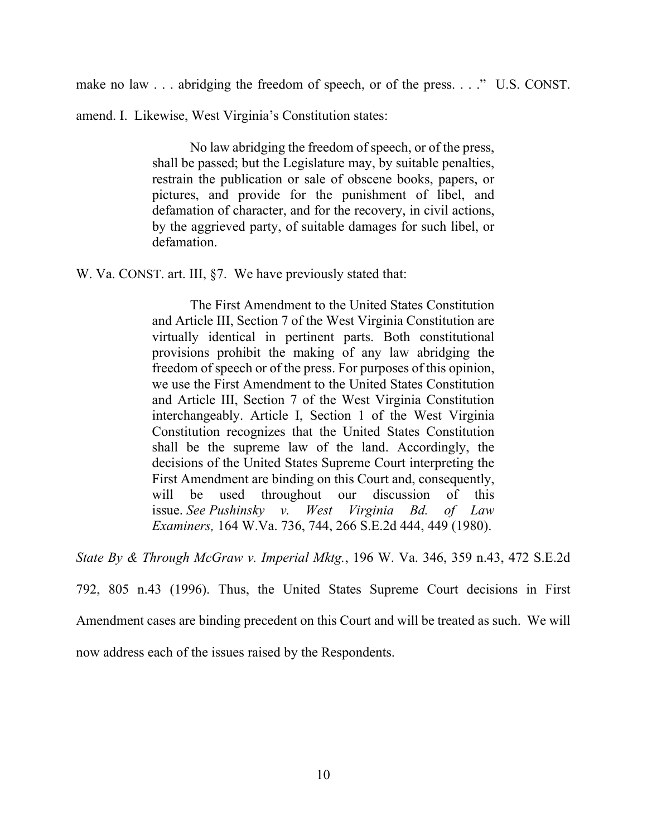make no law . . . abridging the freedom of speech, or of the press. . . ." U.S. CONST.

amend. I. Likewise, West Virginia's Constitution states:

No law abridging the freedom of speech, or of the press, shall be passed; but the Legislature may, by suitable penalties, restrain the publication or sale of obscene books, papers, or pictures, and provide for the punishment of libel, and defamation of character, and for the recovery, in civil actions, by the aggrieved party, of suitable damages for such libel, or defamation.

W. Va. CONST. art. III,  $\S7$ . We have previously stated that:

The First Amendment to the United States Constitution and Article III, Section 7 of the West Virginia Constitution are virtually identical in pertinent parts. Both constitutional provisions prohibit the making of any law abridging the freedom of speech or of the press. For purposes of this opinion, we use the First Amendment to the United States Constitution and Article III, Section 7 of the West Virginia Constitution interchangeably. Article I, Section 1 of the West Virginia Constitution recognizes that the United States Constitution shall be the supreme law of the land. Accordingly, the decisions of the United States Supreme Court interpreting the First Amendment are binding on this Court and, consequently, will be used throughout our discussion of this issue. *See Pushinsky v. West Virginia Bd. of Law Examiners,* 164 W.Va. 736, 744, 266 S.E.2d 444, 449 (1980).

*State By & Through McGraw v. Imperial Mktg.*, 196 W. Va. 346, 359 n.43, 472 S.E.2d

792, 805 n.43 (1996). Thus, the United States Supreme Court decisions in First

Amendment cases are binding precedent on this Court and will be treated as such. We will

now address each of the issues raised by the Respondents.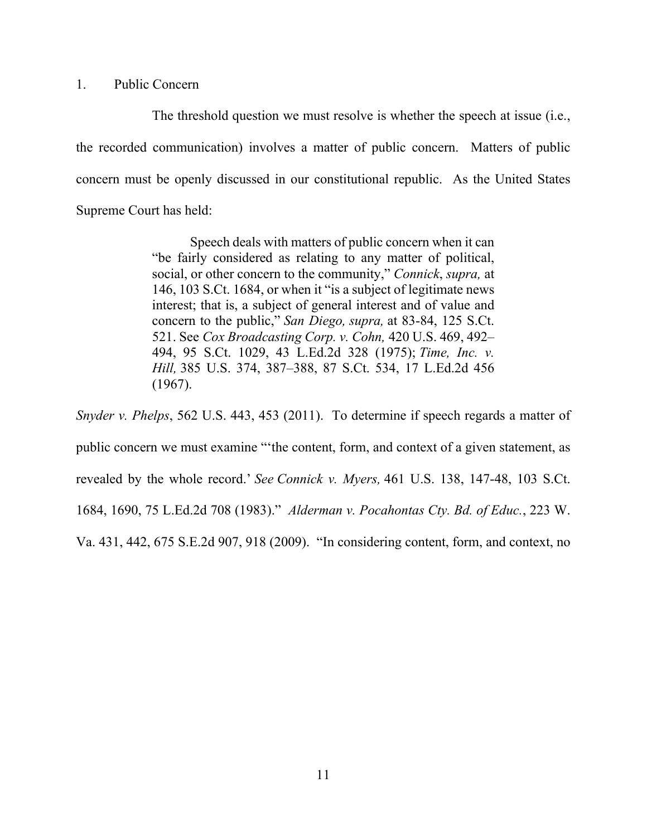## 1. Public Concern

The threshold question we must resolve is whether the speech at issue (i.e., the recorded communication) involves a matter of public concern. Matters of public concern must be openly discussed in our constitutional republic. As the United States Supreme Court has held:

> Speech deals with matters of public concern when it can "be fairly considered as relating to any matter of political, social, or other concern to the community," *Connick*, *supra,* at 146, 103 S.Ct. 1684, or when it "is a subject of legitimate news interest; that is, a subject of general interest and of value and concern to the public," *San Diego, supra,* at 83-84, 125 S.Ct. 521. See *Cox Broadcasting Corp. v. Cohn,* 420 U.S. 469, 492– 494, 95 S.Ct. 1029, 43 L.Ed.2d 328 (1975); *Time, Inc. v. Hill,* 385 U.S. 374, 387–388, 87 S.Ct. 534, 17 L.Ed.2d 456 (1967).

*Snyder v. Phelps*, 562 U.S. 443, 453 (2011). To determine if speech regards a matter of public concern we must examine "'the content, form, and context of a given statement, as revealed by the whole record.' *See Connick v. Myers,* 461 U.S. 138, 147-48, 103 S.Ct. 1684, 1690, 75 L.Ed.2d 708 (1983)." *Alderman v. Pocahontas Cty. Bd. of Educ.*, 223 W. Va. 431, 442, 675 S.E.2d 907, 918 (2009)."In considering content, form, and context, no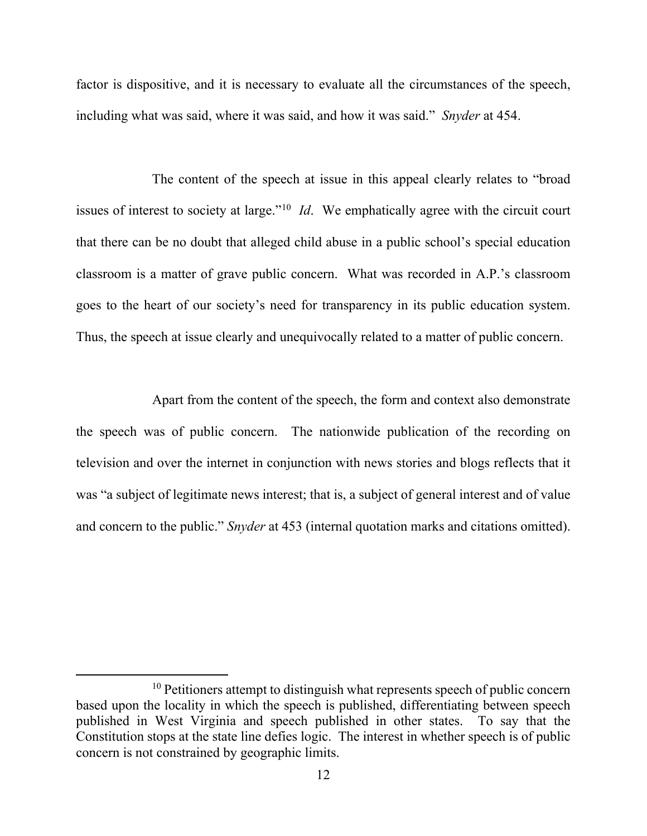factor is dispositive, and it is necessary to evaluate all the circumstances of the speech, including what was said, where it was said, and how it was said." *Snyder* at 454.

The content of the speech at issue in this appeal clearly relates to "broad issues of interest to society at large."[10](#page-14-0) *Id*. We emphatically agree with the circuit court that there can be no doubt that alleged child abuse in a public school's special education classroom is a matter of grave public concern. What was recorded in A.P.'s classroom goes to the heart of our society's need for transparency in its public education system. Thus, the speech at issue clearly and unequivocally related to a matter of public concern.

Apart from the content of the speech, the form and context also demonstrate the speech was of public concern. The nationwide publication of the recording on television and over the internet in conjunction with news stories and blogs reflects that it was "a subject of legitimate news interest; that is, a subject of general interest and of value and concern to the public." *Snyder* at 453 (internal quotation marks and citations omitted).

<span id="page-14-0"></span> $10$  Petitioners attempt to distinguish what represents speech of public concern based upon the locality in which the speech is published, differentiating between speech published in West Virginia and speech published in other states. To say that the Constitution stops at the state line defies logic. The interest in whether speech is of public concern is not constrained by geographic limits.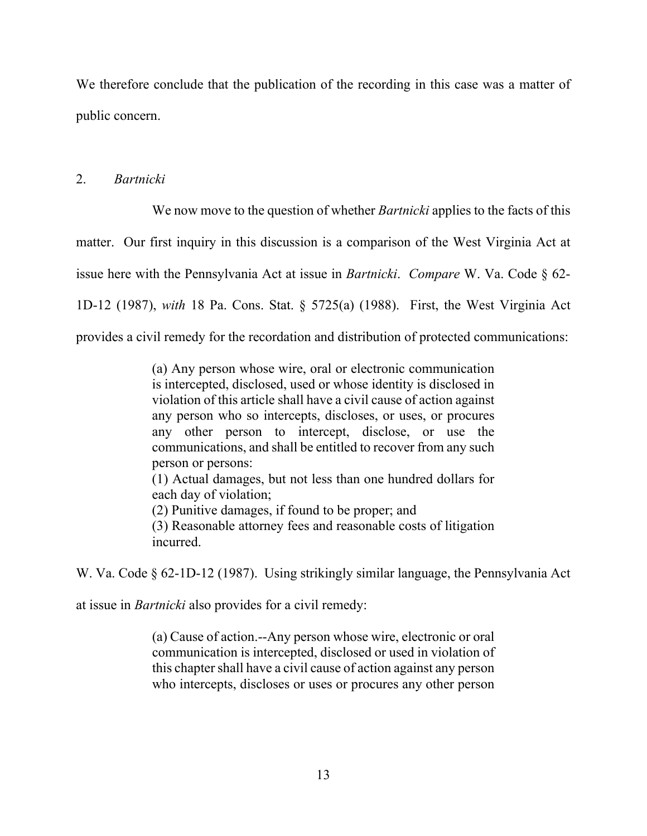We therefore conclude that the publication of the recording in this case was a matter of public concern.

# 2. *Bartnicki*

We now move to the question of whether *Bartnicki* applies to the facts of this matter. Our first inquiry in this discussion is a comparison of the West Virginia Act at issue here with the Pennsylvania Act at issue in *Bartnicki*. *Compare* W. Va. Code § 62- 1D-12 (1987), *with* 18 Pa. Cons. Stat. § 5725(a) (1988). First, the West Virginia Act provides a civil remedy for the recordation and distribution of protected communications:

> (a) Any person whose wire, oral or electronic communication is intercepted, disclosed, used or whose identity is disclosed in violation of this article shall have a civil cause of action against any person who so intercepts, discloses, or uses, or procures any other person to intercept, disclose, or use the communications, and shall be entitled to recover from any such person or persons:

> (1) Actual damages, but not less than one hundred dollars for each day of violation;

(2) Punitive damages, if found to be proper; and

(3) Reasonable attorney fees and reasonable costs of litigation incurred.

W. Va. Code § 62-1D-12 (1987). Using strikingly similar language, the Pennsylvania Act

at issue in *Bartnicki* also provides for a civil remedy:

(a) Cause of action.--Any person whose wire, electronic or oral communication is intercepted, disclosed or used in violation of this chapter shall have a civil cause of action against any person who intercepts, discloses or uses or procures any other person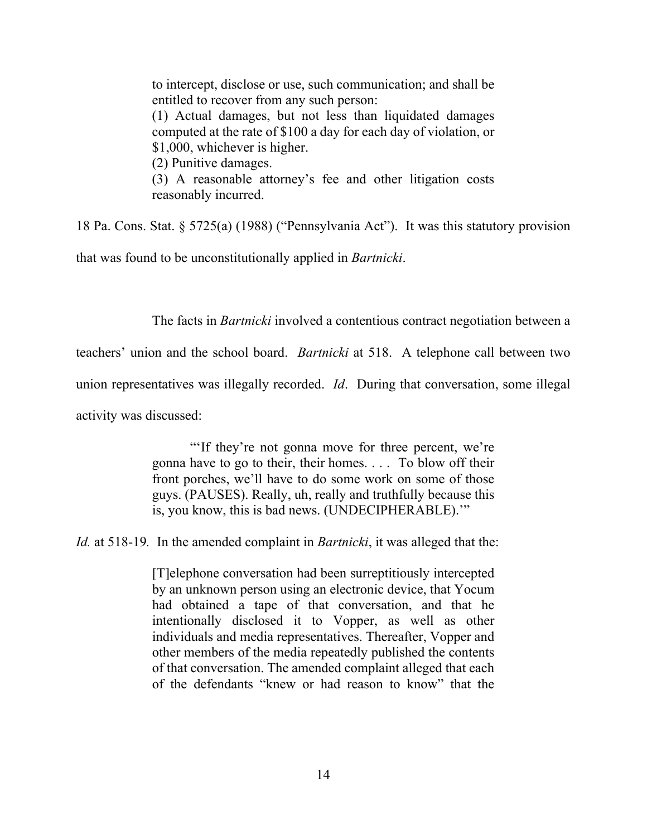to intercept, disclose or use, such communication; and shall be entitled to recover from any such person: (1) Actual damages, but not less than liquidated damages

computed at the rate of \$100 a day for each day of violation, or \$1,000, whichever is higher.

(2) Punitive damages.

(3) A reasonable attorney's fee and other litigation costs reasonably incurred.

18 Pa. Cons. Stat. § 5725(a) (1988) ("Pennsylvania Act"). It was this statutory provision

that was found to be unconstitutionally applied in *Bartnicki*.

The facts in *Bartnicki* involved a contentious contract negotiation between a

teachers' union and the school board. *Bartnicki* at 518. A telephone call between two

union representatives was illegally recorded. *Id*. During that conversation, some illegal

activity was discussed:

"'If they're not gonna move for three percent, we're gonna have to go to their, their homes. . . . To blow off their front porches, we'll have to do some work on some of those guys. (PAUSES). Really, uh, really and truthfully because this is, you know, this is bad news. (UNDECIPHERABLE).'"

*Id.* at 518-19*.* In the amended complaint in *Bartnicki*, it was alleged that the:

[T]elephone conversation had been surreptitiously intercepted by an unknown person using an electronic device, that Yocum had obtained a tape of that conversation, and that he intentionally disclosed it to Vopper, as well as other individuals and media representatives. Thereafter, Vopper and other members of the media repeatedly published the contents of that conversation. The amended complaint alleged that each of the defendants "knew or had reason to know" that the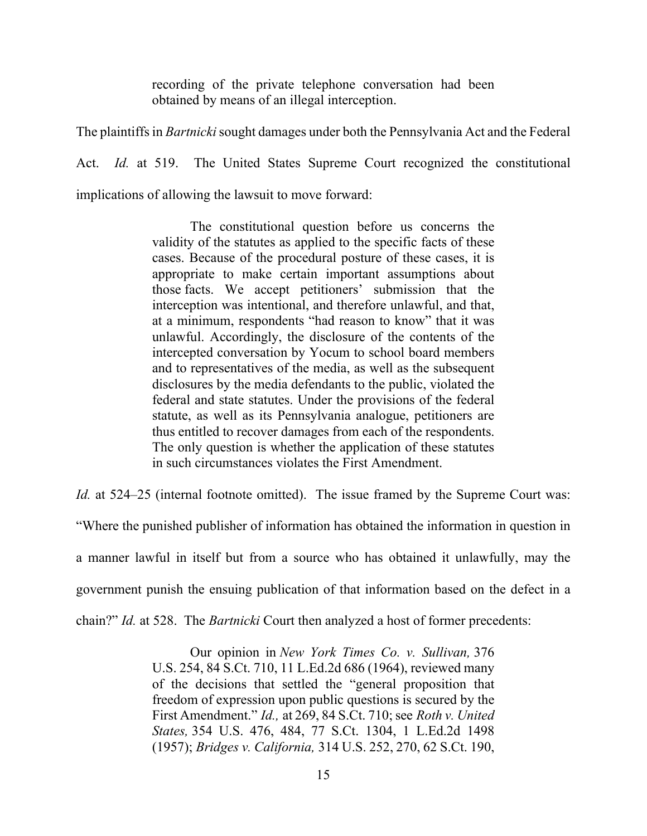recording of the private telephone conversation had been obtained by means of an illegal interception.

The plaintiffs in *Bartnicki* sought damages under both the Pennsylvania Act and the Federal Act. *Id.* at 519. The United States Supreme Court recognized the constitutional implications of allowing the lawsuit to move forward:

> The constitutional question before us concerns the validity of the statutes as applied to the specific facts of these cases. Because of the procedural posture of these cases, it is appropriate to make certain important assumptions about those facts. We accept petitioners' submission that the interception was intentional, and therefore unlawful, and that, at a minimum, respondents "had reason to know" that it was unlawful. Accordingly, the disclosure of the contents of the intercepted conversation by Yocum to school board members and to representatives of the media, as well as the subsequent disclosures by the media defendants to the public, violated the federal and state statutes. Under the provisions of the federal statute, as well as its Pennsylvania analogue, petitioners are thus entitled to recover damages from each of the respondents. The only question is whether the application of these statutes in such circumstances violates the First Amendment.

*Id.* at 524–25 (internal footnote omitted). The issue framed by the Supreme Court was: "Where the punished publisher of information has obtained the information in question in a manner lawful in itself but from a source who has obtained it unlawfully, may the government punish the ensuing publication of that information based on the defect in a chain?" *Id.* at 528. The *Bartnicki* Court then analyzed a host of former precedents:

> Our opinion in *New York Times Co. v. Sullivan,* 376 U.S. 254, 84 S.Ct. 710, 11 L.Ed.2d 686 (1964), reviewed many of the decisions that settled the "general proposition that freedom of expression upon public questions is secured by the First Amendment." *Id.,* at 269, 84 S.Ct. 710; see *Roth v. United States,* 354 U.S. 476, 484, 77 S.Ct. 1304, 1 L.Ed.2d 1498 (1957); *Bridges v. California,* 314 U.S. 252, 270, 62 S.Ct. 190,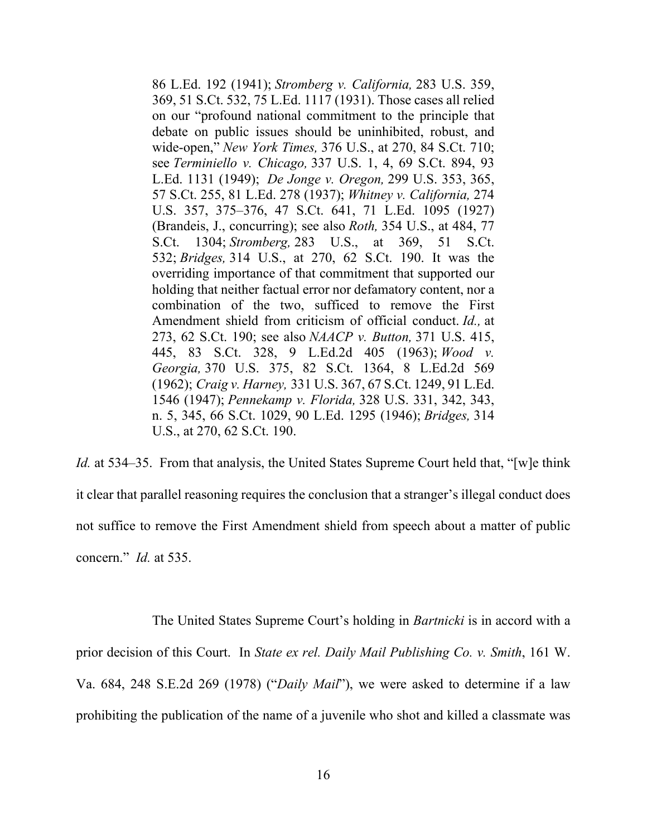86 L.Ed. 192 (1941); *Stromberg v. California,* 283 U.S. 359, 369, 51 S.Ct. 532, 75 L.Ed. 1117 (1931). Those cases all relied on our "profound national commitment to the principle that debate on public issues should be uninhibited, robust, and wide-open," *New York Times,* 376 U.S., at 270, 84 S.Ct. 710; see *Terminiello v. Chicago,* 337 U.S. 1, 4, 69 S.Ct. 894, 93 L.Ed. 1131 (1949); *De Jonge v. Oregon,* 299 U.S. 353, 365, 57 S.Ct. 255, 81 L.Ed. 278 (1937); *Whitney v. California,* 274 U.S. 357, 375–376, 47 S.Ct. 641, 71 L.Ed. 1095 (1927) (Brandeis, J., concurring); see also *Roth,* 354 U.S., at 484, 77 S.Ct. 1304; *Stromberg,* 283 U.S., at 369, 51 S.Ct. 532; *Bridges,* 314 U.S., at 270, 62 S.Ct. 190. It was the overriding importance of that commitment that supported our holding that neither factual error nor defamatory content, nor a combination of the two, sufficed to remove the First Amendment shield from criticism of official conduct. *Id.,* at 273, 62 S.Ct. 190; see also *NAACP v. Button,* 371 U.S. 415, 445, 83 S.Ct. 328, 9 L.Ed.2d 405 (1963); *Wood v. Georgia,* 370 U.S. 375, 82 S.Ct. 1364, 8 L.Ed.2d 569 (1962); *Craig v. Harney,* 331 U.S. 367, 67 S.Ct. 1249, 91 L.Ed. 1546 (1947); *Pennekamp v. Florida,* 328 U.S. 331, 342, 343, n. 5, 345, 66 S.Ct. 1029, 90 L.Ed. 1295 (1946); *Bridges,* 314 U.S., at 270, 62 S.Ct. 190.

*Id.* at 534–35. From that analysis, the United States Supreme Court held that, "[w]e think it clear that parallel reasoning requires the conclusion that a stranger's illegal conduct does not suffice to remove the First Amendment shield from speech about a matter of public concern." *Id.* at 535.

The United States Supreme Court's holding in *Bartnicki* is in accord with a prior decision of this Court. In *State ex rel. Daily Mail Publishing Co. v. Smith*, 161 W. Va. 684, 248 S.E.2d 269 (1978) ("*Daily Mail*"), we were asked to determine if a law prohibiting the publication of the name of a juvenile who shot and killed a classmate was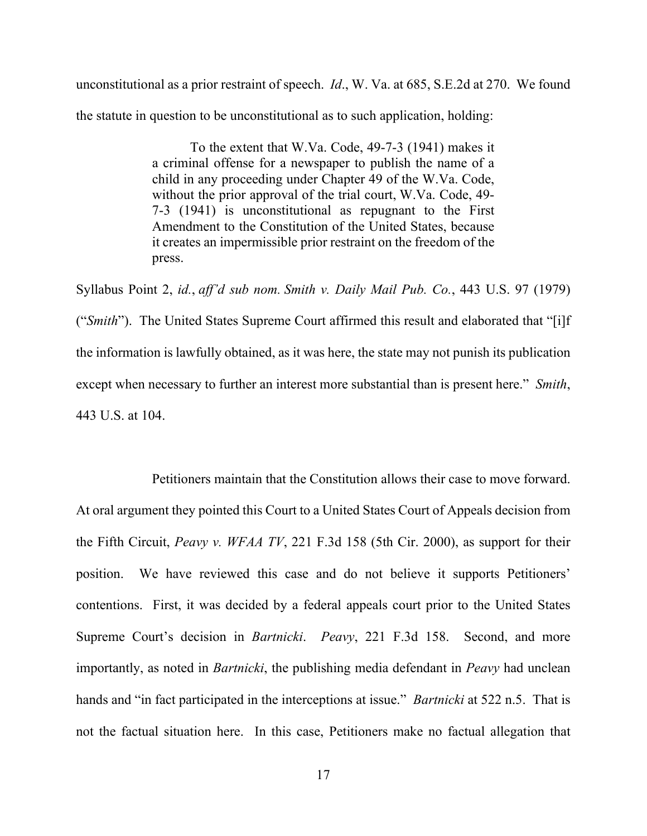unconstitutional as a prior restraint of speech. *Id*., W. Va. at 685, S.E.2d at 270. We found the statute in question to be unconstitutional as to such application, holding:

> To the extent that W.Va. Code, 49-7-3 (1941) makes it a criminal offense for a newspaper to publish the name of a child in any proceeding under Chapter 49 of the W.Va. Code, without the prior approval of the trial court, W.Va. Code, 49- 7-3 (1941) is unconstitutional as repugnant to the First Amendment to the Constitution of the United States, because it creates an impermissible prior restraint on the freedom of the press.

Syllabus Point 2, *id.*, *aff'd sub nom. Smith v. Daily Mail Pub. Co.*, 443 U.S. 97 (1979) ("*Smith*"). The United States Supreme Court affirmed this result and elaborated that "[i]f the information is lawfully obtained, as it was here, the state may not punish its publication except when necessary to further an interest more substantial than is present here." *Smith*, 443 U.S. at 104.

Petitioners maintain that the Constitution allows their case to move forward. At oral argument they pointed this Court to a United States Court of Appeals decision from the Fifth Circuit, *Peavy v. WFAA TV*, 221 F.3d 158 (5th Cir. 2000), as support for their position. We have reviewed this case and do not believe it supports Petitioners' contentions. First, it was decided by a federal appeals court prior to the United States Supreme Court's decision in *Bartnicki*. *Peavy*, 221 F.3d 158. Second, and more importantly, as noted in *Bartnicki*, the publishing media defendant in *Peavy* had unclean hands and "in fact participated in the interceptions at issue." *Bartnicki* at 522 n.5. That is not the factual situation here. In this case, Petitioners make no factual allegation that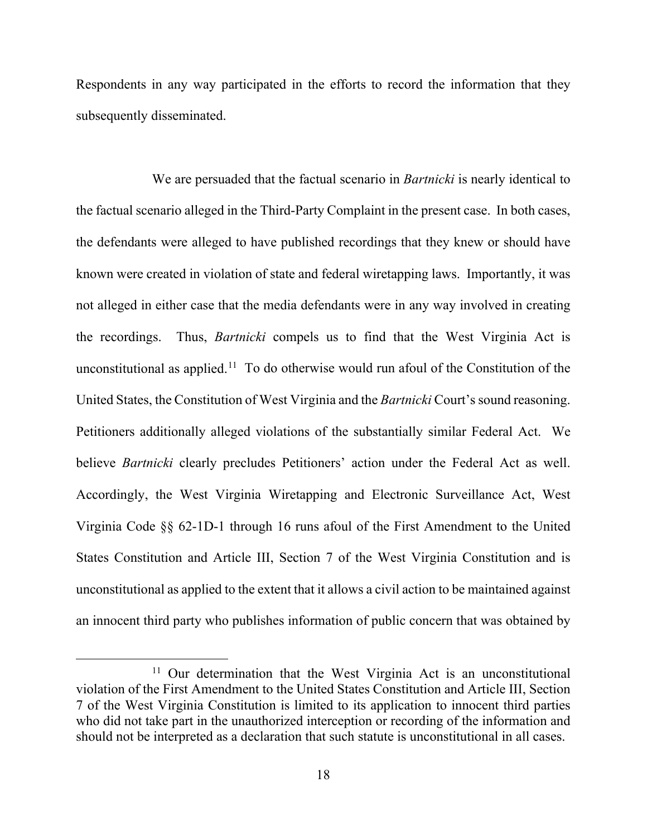Respondents in any way participated in the efforts to record the information that they subsequently disseminated.

We are persuaded that the factual scenario in *Bartnicki* is nearly identical to the factual scenario alleged in the Third-Party Complaint in the present case. In both cases, the defendants were alleged to have published recordings that they knew or should have known were created in violation of state and federal wiretapping laws. Importantly, it was not alleged in either case that the media defendants were in any way involved in creating the recordings. Thus, *Bartnicki* compels us to find that the West Virginia Act is unconstitutional as applied.<sup>[11](#page-20-0)</sup> To do otherwise would run afoul of the Constitution of the United States, the Constitution of West Virginia and the *Bartnicki* Court's sound reasoning. Petitioners additionally alleged violations of the substantially similar Federal Act. We believe *Bartnicki* clearly precludes Petitioners' action under the Federal Act as well. Accordingly, the West Virginia Wiretapping and Electronic Surveillance Act, West Virginia Code §§ 62-1D-1 through 16 runs afoul of the First Amendment to the United States Constitution and Article III, Section 7 of the West Virginia Constitution and is unconstitutional as applied to the extent that it allows a civil action to be maintained against an innocent third party who publishes information of public concern that was obtained by

<span id="page-20-0"></span><sup>&</sup>lt;sup>11</sup> Our determination that the West Virginia Act is an unconstitutional violation of the First Amendment to the United States Constitution and Article III, Section 7 of the West Virginia Constitution is limited to its application to innocent third parties who did not take part in the unauthorized interception or recording of the information and should not be interpreted as a declaration that such statute is unconstitutional in all cases.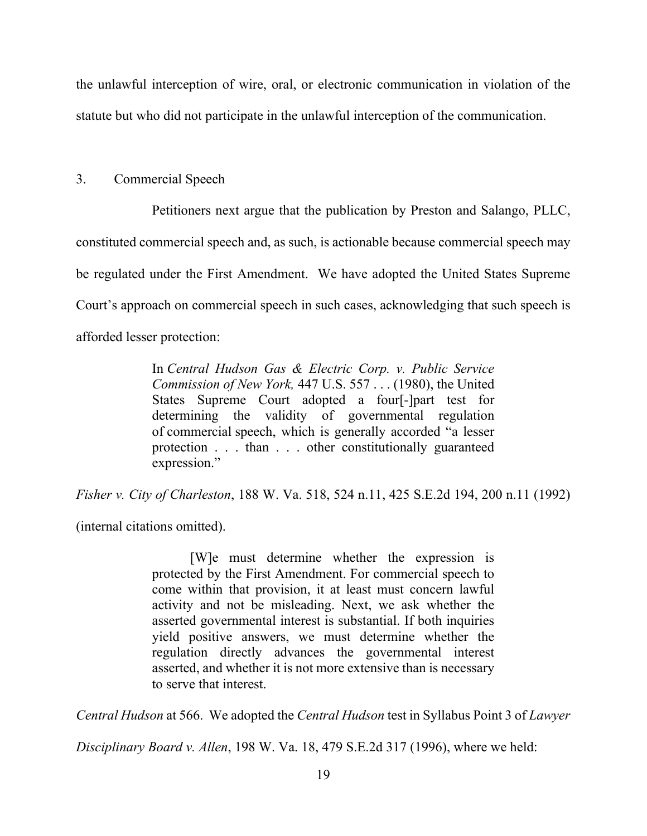the unlawful interception of wire, oral, or electronic communication in violation of the statute but who did not participate in the unlawful interception of the communication.

3. Commercial Speech

Petitioners next argue that the publication by Preston and Salango, PLLC, constituted commercial speech and, as such, is actionable because commercial speech may be regulated under the First Amendment. We have adopted the United States Supreme Court's approach on commercial speech in such cases, acknowledging that such speech is afforded lesser protection:

> In *Central Hudson Gas & Electric Corp. v. Public Service Commission of New York,* 447 U.S. 557 . . . (1980), the United States Supreme Court adopted a four[-]part test for determining the validity of governmental regulation of commercial speech, which is generally accorded "a lesser protection . . . than . . . other constitutionally guaranteed expression."

*Fisher v. City of Charleston*, 188 W. Va. 518, 524 n.11, 425 S.E.2d 194, 200 n.11 (1992)

(internal citations omitted).

[W]e must determine whether the expression is protected by the First Amendment. For commercial speech to come within that provision, it at least must concern lawful activity and not be misleading. Next, we ask whether the asserted governmental interest is substantial. If both inquiries yield positive answers, we must determine whether the regulation directly advances the governmental interest asserted, and whether it is not more extensive than is necessary to serve that interest.

*Central Hudson* at 566. We adopted the *Central Hudson* test in Syllabus Point 3 of *Lawyer* 

*Disciplinary Board v. Allen*, 198 W. Va. 18, 479 S.E.2d 317 (1996), where we held: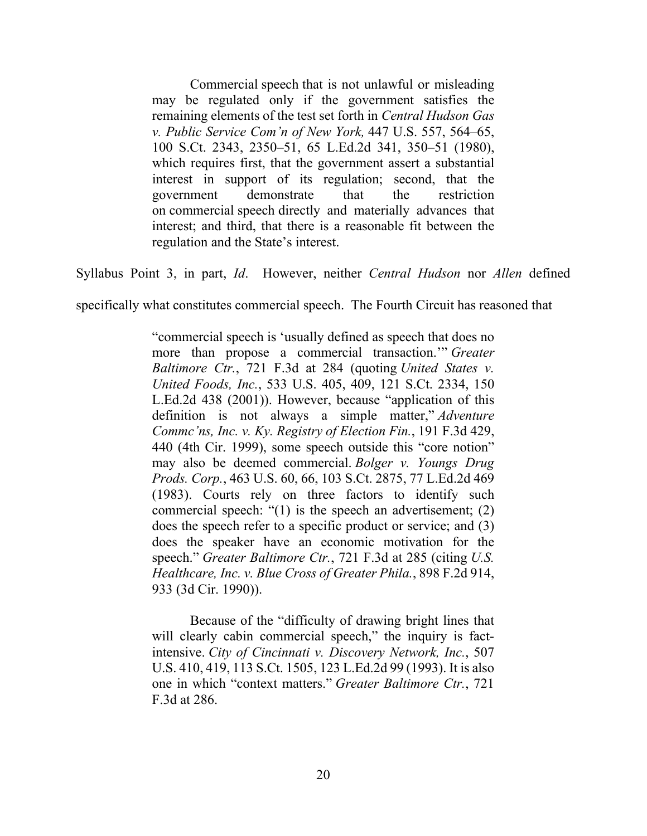Commercial speech that is not unlawful or misleading may be regulated only if the government satisfies the remaining elements of the test set forth in *Central Hudson Gas v. Public Service Com'n of New York,* 447 U.S. 557, 564–65, 100 S.Ct. 2343, 2350–51, 65 L.Ed.2d 341, 350–51 (1980), which requires first, that the government assert a substantial interest in support of its regulation; second, that the government demonstrate that the restriction on commercial speech directly and materially advances that interest; and third, that there is a reasonable fit between the regulation and the State's interest.

Syllabus Point 3, in part, *Id*. However, neither *Central Hudson* nor *Allen* defined

specifically what constitutes commercial speech. The Fourth Circuit has reasoned that

"commercial speech is 'usually defined as speech that does no more than propose a commercial transaction.'" *Greater Baltimore Ctr.*, 721 F.3d at 284 (quoting *United States v. United Foods, Inc.*, 533 U.S. 405, 409, 121 S.Ct. 2334, 150 L.Ed.2d 438 (2001)). However, because "application of this definition is not always a simple matter," *Adventure Commc'ns, Inc. v. Ky. Registry of Election Fin.*, 191 F.3d 429, 440 (4th Cir. 1999), some speech outside this "core notion" may also be deemed commercial. *Bolger v. Youngs Drug Prods. Corp.*, 463 U.S. 60, 66, 103 S.Ct. 2875, 77 L.Ed.2d 469 (1983). Courts rely on three factors to identify such commercial speech: "(1) is the speech an advertisement; (2) does the speech refer to a specific product or service; and (3) does the speaker have an economic motivation for the speech." *Greater Baltimore Ctr.*, 721 F.3d at 285 (citing *U.S. Healthcare, Inc. v. Blue Cross of Greater Phila.*, 898 F.2d 914, 933 (3d Cir. 1990)).

Because of the "difficulty of drawing bright lines that will clearly cabin commercial speech," the inquiry is factintensive. *City of Cincinnati v. Discovery Network, Inc.*, 507 U.S. 410, 419, 113 S.Ct. 1505, 123 L.Ed.2d 99 (1993). It is also one in which "context matters." *Greater Baltimore Ctr.*, 721 F.3d at 286.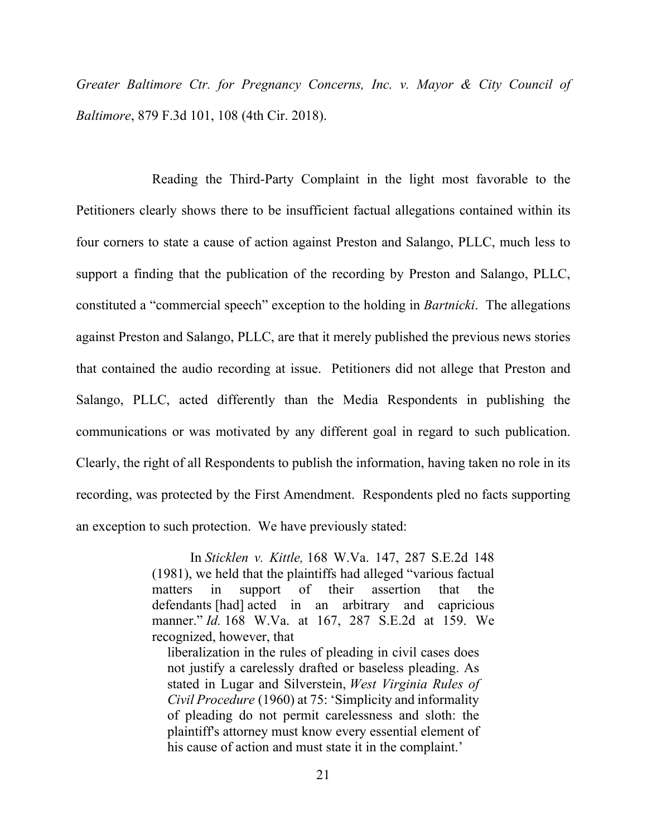*Greater Baltimore Ctr. for Pregnancy Concerns, Inc. v. Mayor & City Council of Baltimore*, 879 F.3d 101, 108 (4th Cir. 2018).

Reading the Third-Party Complaint in the light most favorable to the Petitioners clearly shows there to be insufficient factual allegations contained within its four corners to state a cause of action against Preston and Salango, PLLC, much less to support a finding that the publication of the recording by Preston and Salango, PLLC, constituted a "commercial speech" exception to the holding in *Bartnicki*. The allegations against Preston and Salango, PLLC, are that it merely published the previous news stories that contained the audio recording at issue. Petitioners did not allege that Preston and Salango, PLLC, acted differently than the Media Respondents in publishing the communications or was motivated by any different goal in regard to such publication. Clearly, the right of all Respondents to publish the information, having taken no role in its recording, was protected by the First Amendment. Respondents pled no facts supporting an exception to such protection. We have previously stated:

> In *Sticklen v. Kittle,* 168 W.Va. 147, 287 S.E.2d 148 (1981), we held that the plaintiffs had alleged "various factual matters in support of their assertion that the defendants [had] acted in an arbitrary and capricious manner." *Id.* 168 W.Va. at 167, 287 S.E.2d at 159. We recognized, however, that

liberalization in the rules of pleading in civil cases does not justify a carelessly drafted or baseless pleading. As stated in Lugar and Silverstein, *West Virginia Rules of Civil Procedure* (1960) at 75: 'Simplicity and informality of pleading do not permit carelessness and sloth: the plaintiff's attorney must know every essential element of his cause of action and must state it in the complaint.'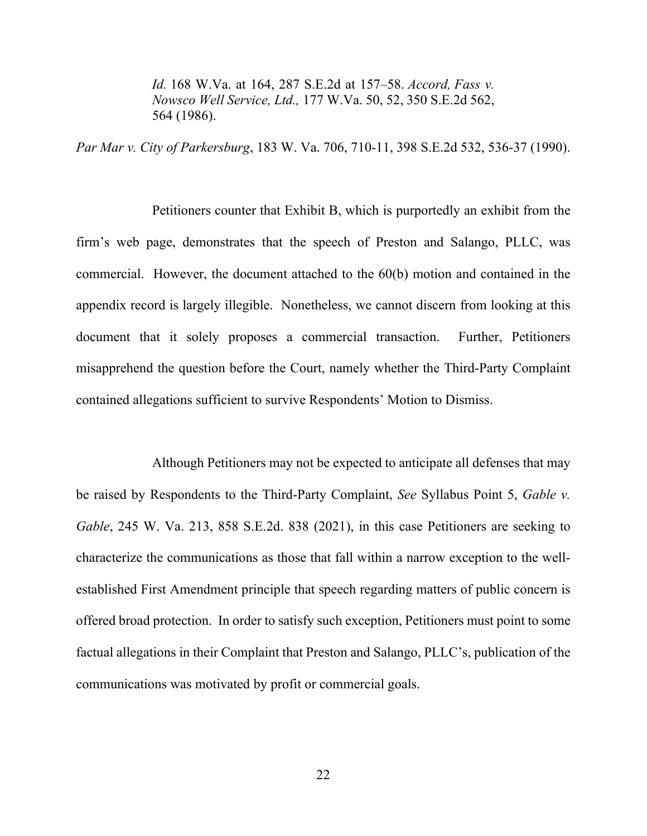*Id.* 168 W.Va. at 164, 287 S.E.2d at 157–58. *Accord, Fass v. Nowsco Well Service, Ltd.,* 177 W.Va. 50, 52, 350 S.E.2d 562, 564 (1986).

*Par Mar v. City of Parkersburg*, 183 W. Va. 706, 710-11, 398 S.E.2d 532, 536-37 (1990).

Petitioners counter that Exhibit B, which is purportedly an exhibit from the firm's web page, demonstrates that the speech of Preston and Salango, PLLC, was commercial. However, the document attached to the 60(b) motion and contained in the appendix record is largely illegible. Nonetheless, we cannot discern from looking at this document that it solely proposes a commercial transaction. Further, Petitioners misapprehend the question before the Court, namely whether the Third-Party Complaint contained allegations sufficient to survive Respondents' Motion to Dismiss.

Although Petitioners may not be expected to anticipate all defenses that may be raised by Respondents to the Third-Party Complaint, *See* Syllabus Point 5, *Gable v. Gable*, 245 W. Va. 213, 858 S.E.2d. 838 (2021), in this case Petitioners are seeking to characterize the communications as those that fall within a narrow exception to the wellestablished First Amendment principle that speech regarding matters of public concern is offered broad protection. In order to satisfy such exception, Petitioners must point to some factual allegations in their Complaint that Preston and Salango, PLLC's, publication of the communications was motivated by profit or commercial goals.